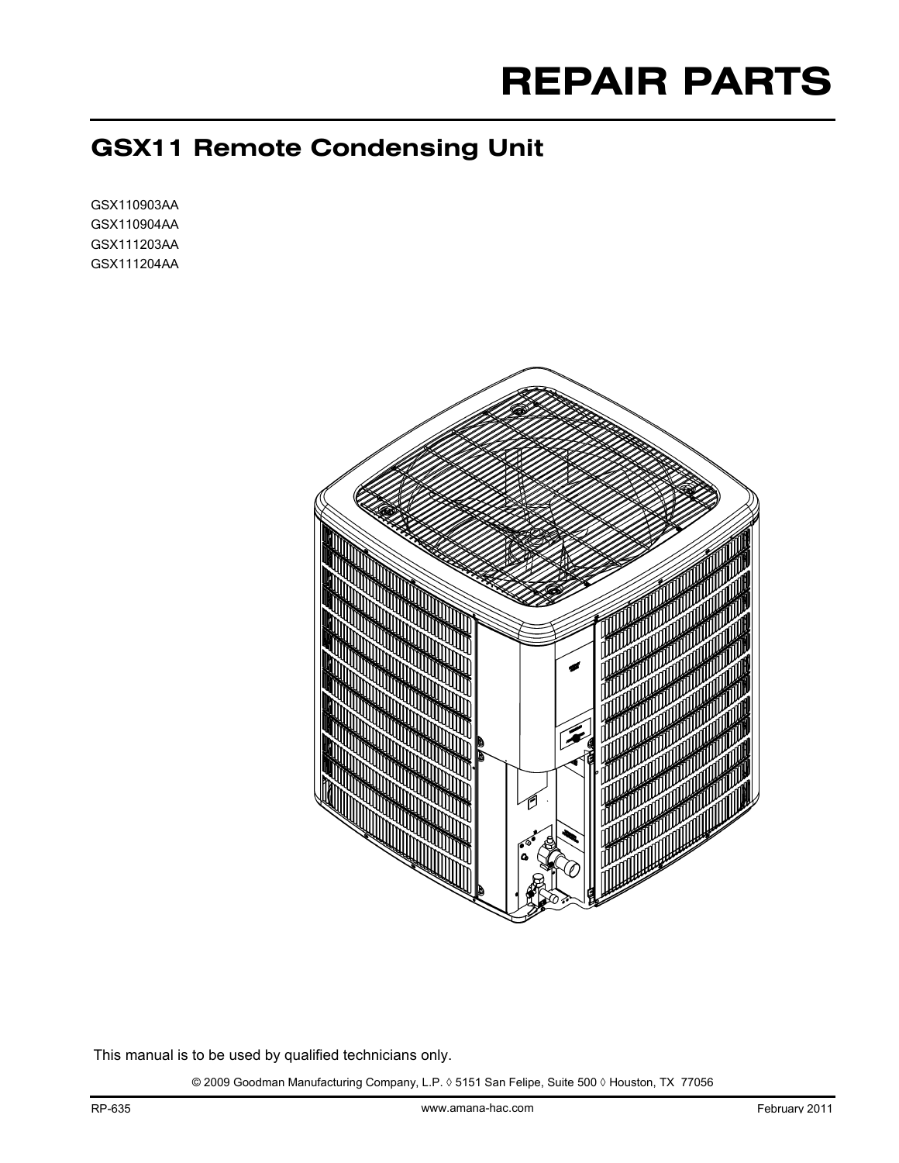# **REPAIR PARTS**

# **GSX11 Remote Condensing Unit**

GSX110903AA GSX110904AA GSX111203AA GSX111204AA



This manual is to be used by qualified technicians only.

© 2009 Goodman Manufacturing Company, L.P. ◊ 5151 San Felipe, Suite 500 ◊ Houston, TX 77056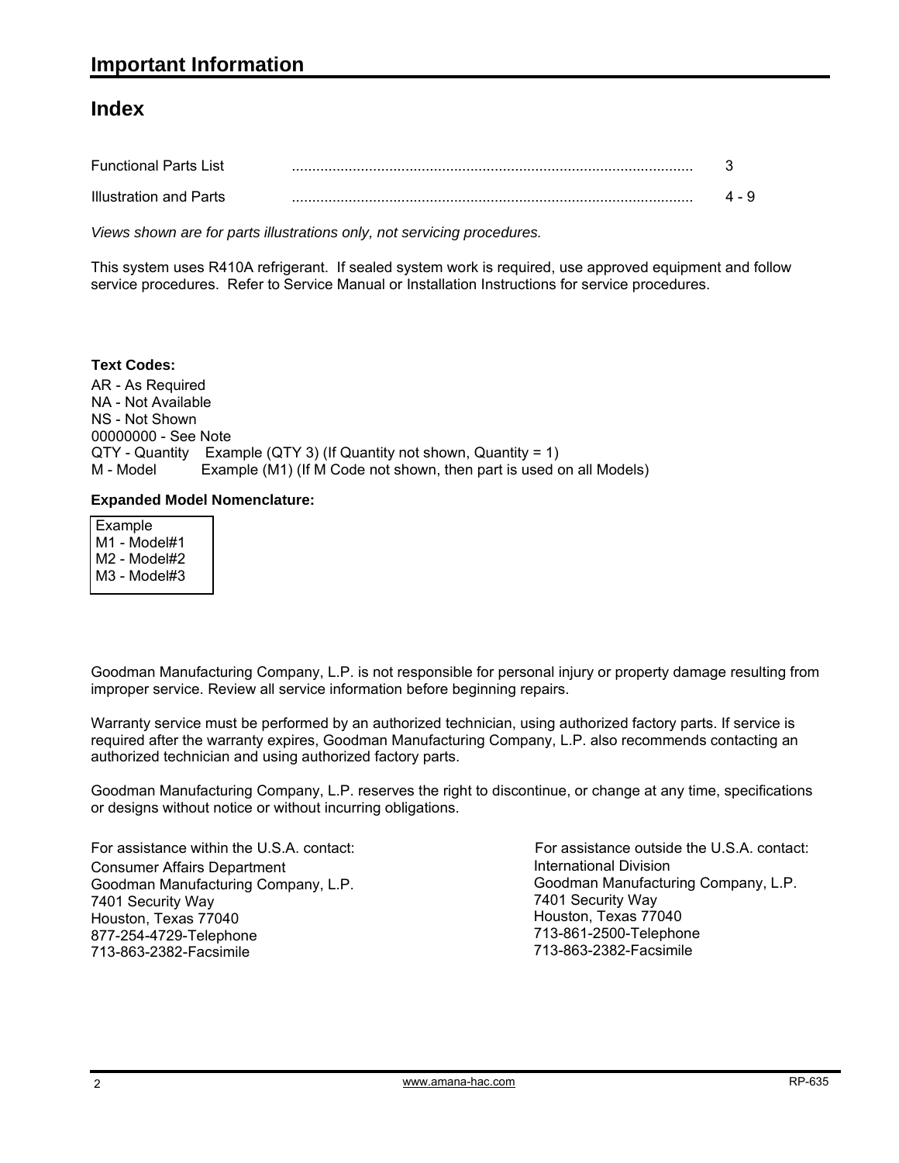#### **Index**

| <b>Functional Parts List</b>  |  |
|-------------------------------|--|
| <b>Illustration and Parts</b> |  |

*Views shown are for parts illustrations only, not servicing procedures.*

This system uses R410A refrigerant. If sealed system work is required, use approved equipment and follow service procedures. Refer to Service Manual or Installation Instructions for service procedures.

#### **Text Codes:**

AR - As Required NA - Not Available NS - Not Shown 00000000 - See Note QTY - Quantity Example (QTY 3) (If Quantity not shown, Quantity = 1) M - Model Example (M1) (If M Code not shown, then part is used on all Models)

#### **Expanded Model Nomenclature:**

| Example<br>M1 - Model#1<br>M2 - Model#2<br>M3 - Model#3 |  |  |  |
|---------------------------------------------------------|--|--|--|
|                                                         |  |  |  |

Goodman Manufacturing Company, L.P. is not responsible for personal injury or property damage resulting from improper service. Review all service information before beginning repairs.

Warranty service must be performed by an authorized technician, using authorized factory parts. If service is required after the warranty expires, Goodman Manufacturing Company, L.P. also recommends contacting an authorized technician and using authorized factory parts.

Goodman Manufacturing Company, L.P. reserves the right to discontinue, or change at any time, specifications or designs without notice or without incurring obligations.

For assistance within the U.S.A. contact: Consumer Affairs Department Goodman Manufacturing Company, L.P. 7401 Security Way Houston, Texas 77040 877-254-4729-Telephone 713-863-2382-Facsimile

International Division Goodman Manufacturing Company, L.P. 7401 Security Way Houston, Texas 77040 713-861-2500-Telephone 713-863-2382-Facsimile For assistance outside the U.S.A. contact: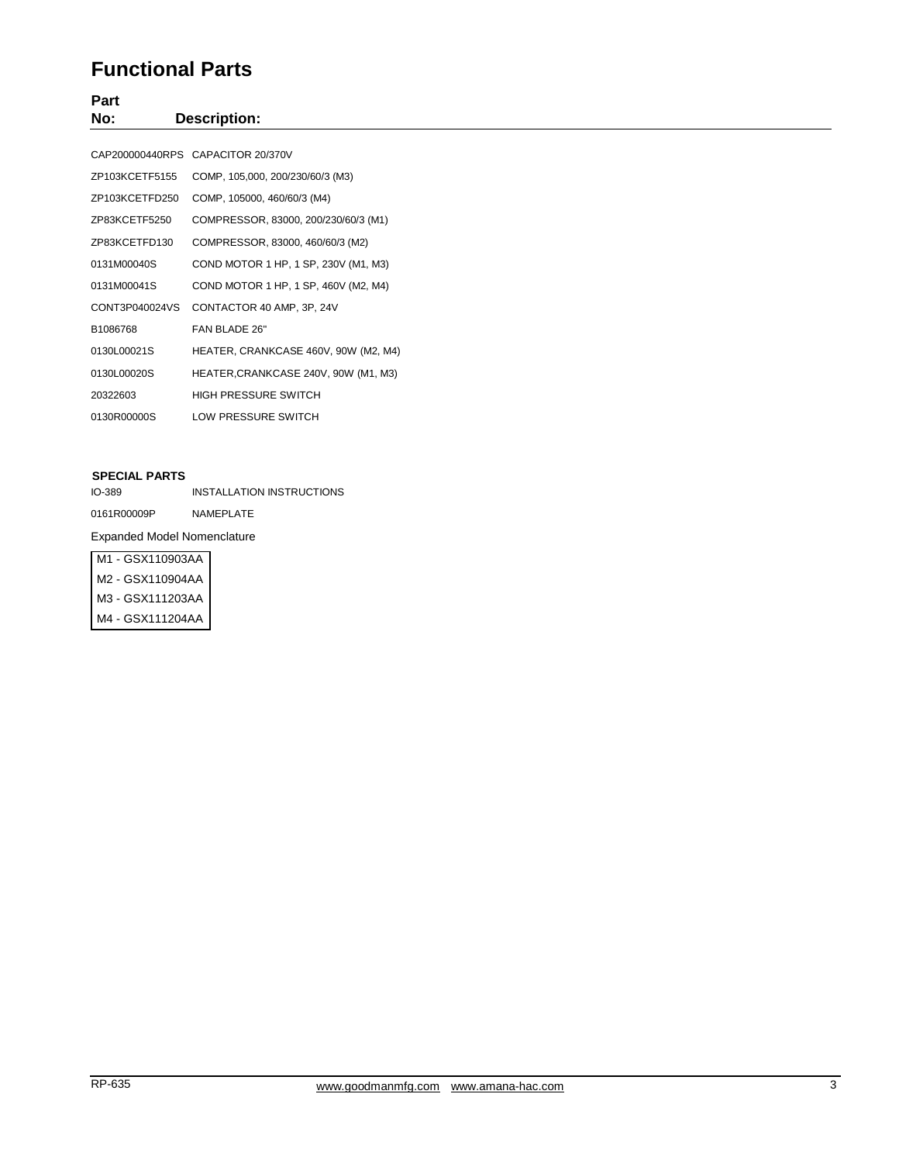### **Functional Parts**

**Part No: Description:**

|                | CAP200000440RPS CAPACITOR 20/370V    |
|----------------|--------------------------------------|
| ZP103KCETF5155 | COMP, 105,000, 200/230/60/3 (M3)     |
| ZP103KCETFD250 | COMP, 105000, 460/60/3 (M4)          |
| ZP83KCETF5250  | COMPRESSOR, 83000, 200/230/60/3 (M1) |
| ZP83KCETFD130  | COMPRESSOR, 83000, 460/60/3 (M2)     |
| 0131M00040S    | COND MOTOR 1 HP, 1 SP, 230V (M1, M3) |
| 0131M00041S    | COND MOTOR 1 HP, 1 SP, 460V (M2, M4) |
| CONT3P040024VS | CONTACTOR 40 AMP, 3P, 24V            |
| B1086768       | FAN BLADE 26"                        |
| 0130L00021S    | HEATER, CRANKCASE 460V, 90W (M2, M4) |
| 0130L00020S    | HEATER, CRANKCASE 240V, 90W (M1, M3) |
| 20322603       | HIGH PRESSURE SWITCH                 |
| 0130R00000S    | LOW PRESSURE SWITCH                  |

#### **SPECIAL PARTS**

IO-389 INSTALLATION INSTRUCTIONS 0161R00009P NAMEPLATE

Expanded Model Nomenclature

| M1 - GSX110903AA |
|------------------|
| M2 - GSX110904AA |
| M3 - GSX111203AA |
| M4 - GSX111204AA |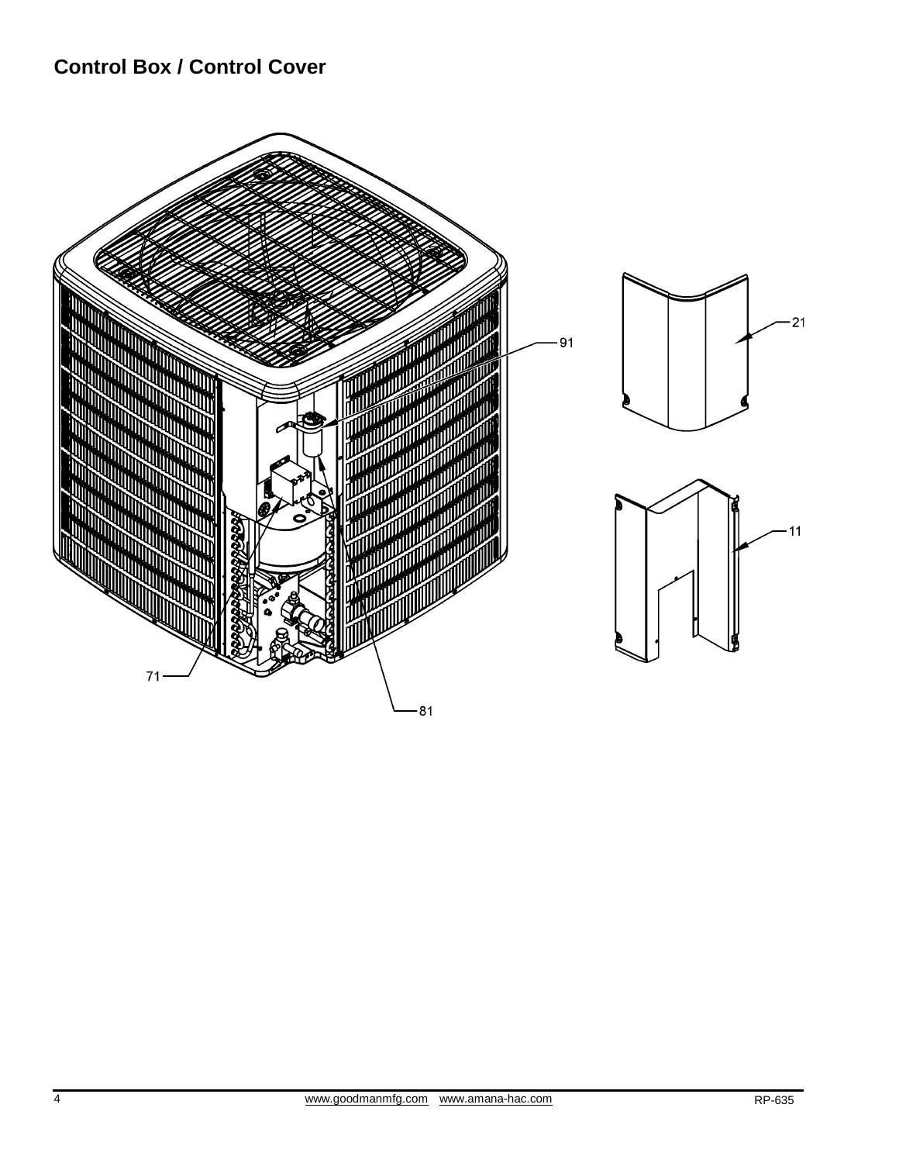## **Control Box / Control Cover**

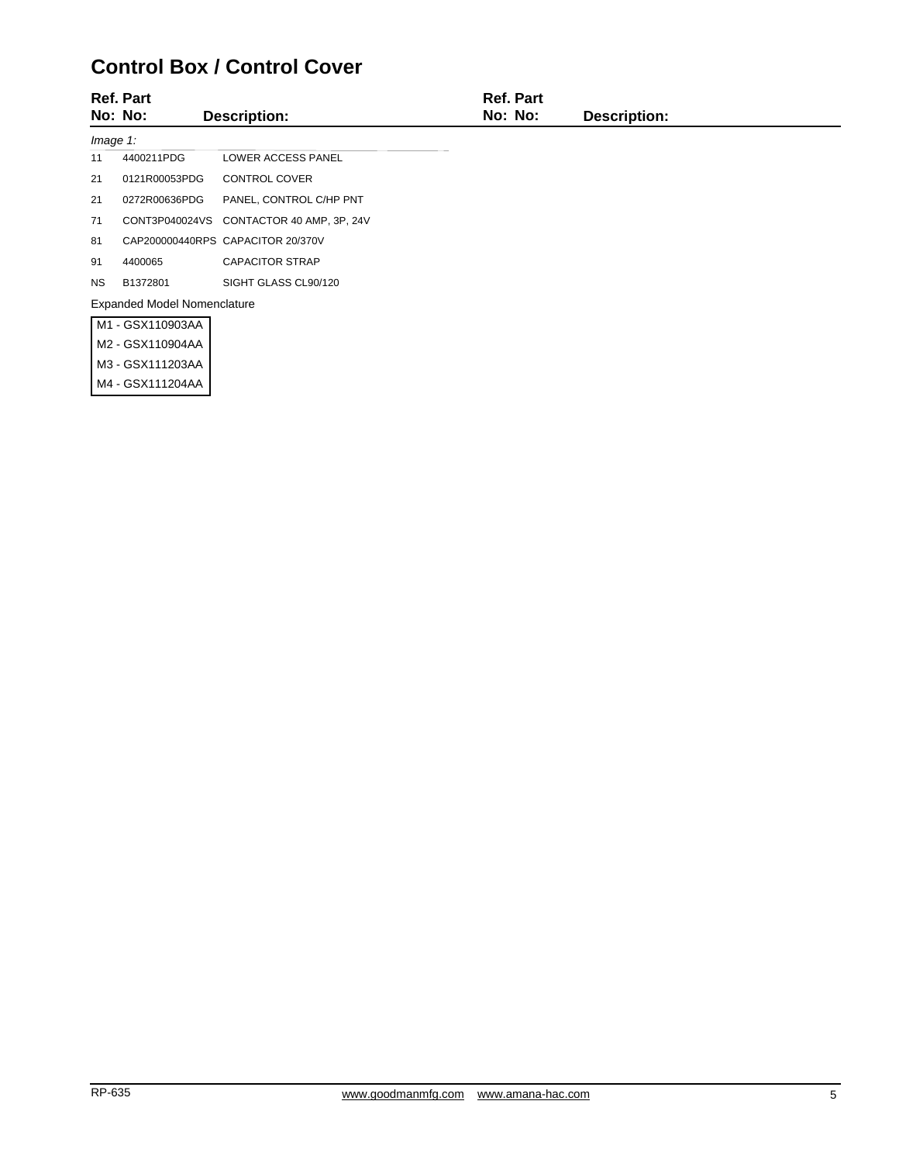## **Control Box / Control Cover**

| <b>Ref. Part</b> |                                    |                                   | <b>Ref. Part</b> |                     |  |
|------------------|------------------------------------|-----------------------------------|------------------|---------------------|--|
|                  | No: No:                            | <b>Description:</b>               | No: No:          | <b>Description:</b> |  |
| Image 1:         |                                    |                                   |                  |                     |  |
| 11               | 4400211PDG                         | <b>LOWER ACCESS PANEL</b>         |                  |                     |  |
| 21               | 0121R00053PDG                      | <b>CONTROL COVER</b>              |                  |                     |  |
| 21               | 0272R00636PDG                      | PANEL, CONTROL C/HP PNT           |                  |                     |  |
| 71               | CONT3P040024VS                     | CONTACTOR 40 AMP, 3P, 24V         |                  |                     |  |
| 81               |                                    | CAP200000440RPS CAPACITOR 20/370V |                  |                     |  |
| 91               | 4400065                            | <b>CAPACITOR STRAP</b>            |                  |                     |  |
| <b>NS</b>        | B1372801                           | SIGHT GLASS CL90/120              |                  |                     |  |
|                  | <b>Expanded Model Nomenclature</b> |                                   |                  |                     |  |
|                  | M1 - GSX110903AA                   |                                   |                  |                     |  |
|                  | M2 - GSX110904AA                   |                                   |                  |                     |  |
|                  | M3 - GSX111203AA                   |                                   |                  |                     |  |
|                  | M4 - GSX111204AA                   |                                   |                  |                     |  |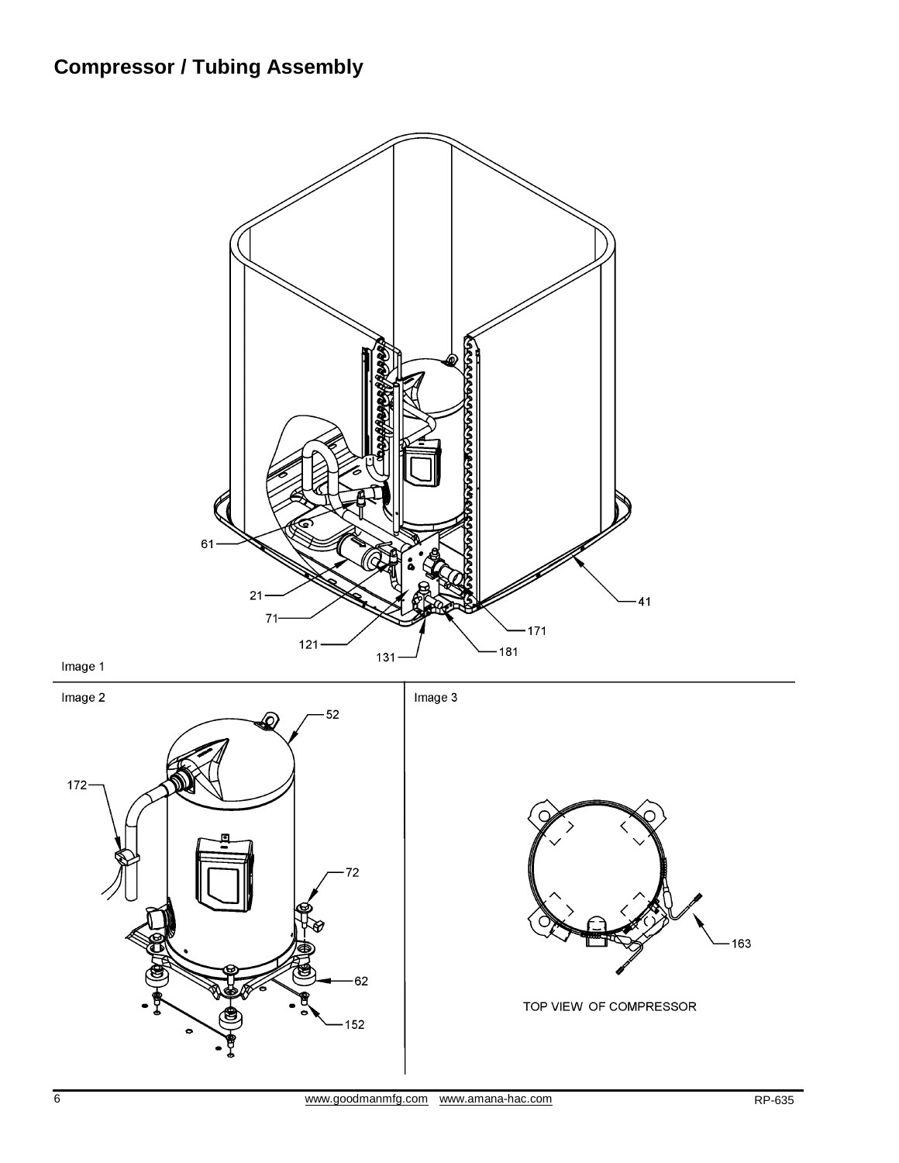# **Compressor / Tubing Assembly**



Image 1



163

TOP VIEW OF COMPRESSOR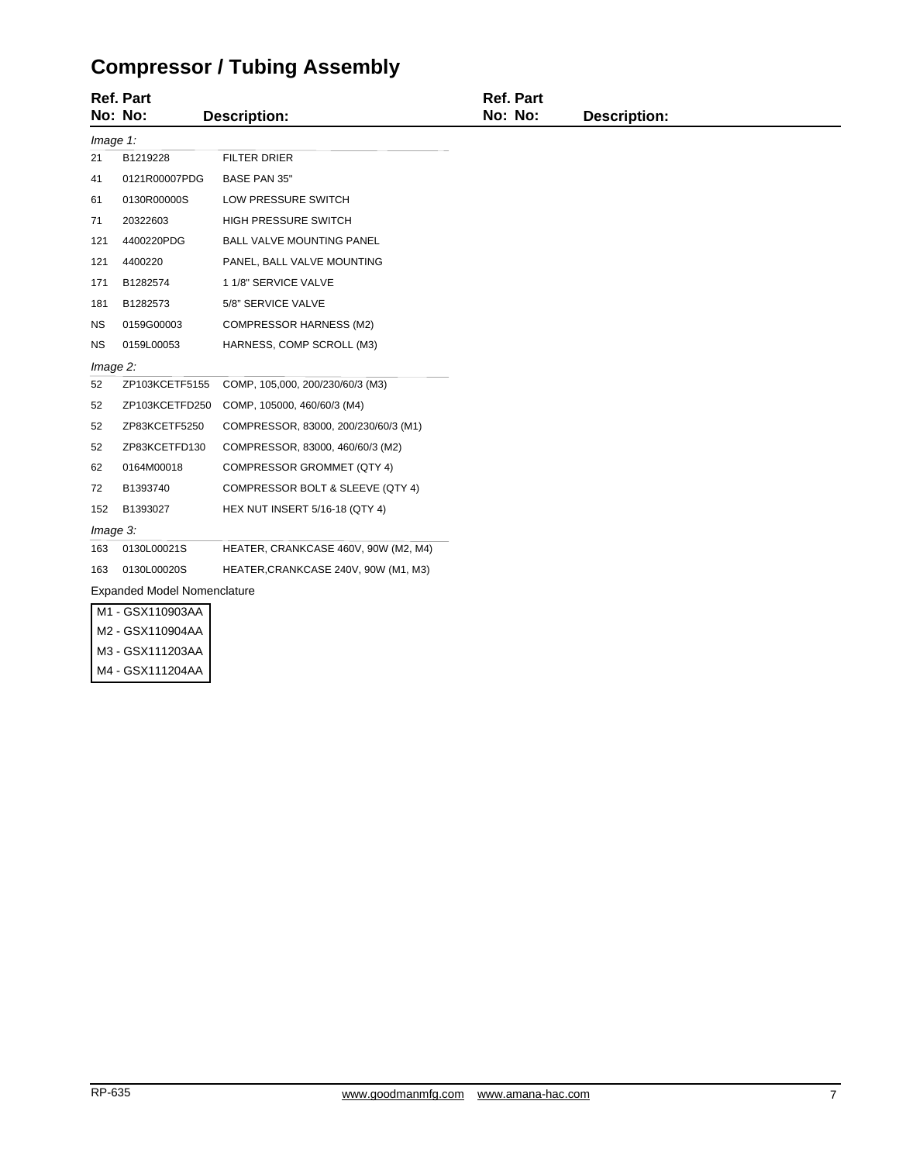# **Compressor / Tubing Assembly**

|             | <b>Ref. Part</b><br>No: No:        | <b>Description:</b>                   | <b>Ref. Part</b><br>No: No: | <b>Description:</b> |  |  |
|-------------|------------------------------------|---------------------------------------|-----------------------------|---------------------|--|--|
| Image 1:    |                                    |                                       |                             |                     |  |  |
| 21          | B1219228                           | <b>FILTER DRIER</b>                   |                             |                     |  |  |
| 41          | 0121R00007PDG                      | BASE PAN 35"                          |                             |                     |  |  |
| 61          | 0130R00000S                        | LOW PRESSURE SWITCH                   |                             |                     |  |  |
| 71          | 20322603                           | HIGH PRESSURE SWITCH                  |                             |                     |  |  |
| 121         | 4400220PDG                         | BALL VALVE MOUNTING PANEL             |                             |                     |  |  |
| 121         | 4400220                            | PANEL, BALL VALVE MOUNTING            |                             |                     |  |  |
| 171         | B1282574                           | 1 1/8" SERVICE VALVE                  |                             |                     |  |  |
| 181         | B1282573                           | 5/8" SERVICE VALVE                    |                             |                     |  |  |
| ΝS          | 0159G00003                         | <b>COMPRESSOR HARNESS (M2)</b>        |                             |                     |  |  |
| ΝS          | 0159L00053                         | HARNESS, COMP SCROLL (M3)             |                             |                     |  |  |
| $Image 2$ : |                                    |                                       |                             |                     |  |  |
| 52          | ZP103KCETF5155                     | COMP, 105,000, 200/230/60/3 (M3)      |                             |                     |  |  |
| 52          | ZP103KCETFD250                     | COMP, 105000, 460/60/3 (M4)           |                             |                     |  |  |
| 52          | ZP83KCETF5250                      | COMPRESSOR, 83000, 200/230/60/3 (M1)  |                             |                     |  |  |
| 52          | ZP83KCETFD130                      | COMPRESSOR, 83000, 460/60/3 (M2)      |                             |                     |  |  |
| 62          | 0164M00018                         | COMPRESSOR GROMMET (QTY 4)            |                             |                     |  |  |
| 72          | B1393740                           | COMPRESSOR BOLT & SLEEVE (QTY 4)      |                             |                     |  |  |
| 152         | B1393027                           | <b>HEX NUT INSERT 5/16-18 (QTY 4)</b> |                             |                     |  |  |
|             | Image 3:                           |                                       |                             |                     |  |  |
| 163         | 0130L00021S                        | HEATER, CRANKCASE 460V, 90W (M2, M4)  |                             |                     |  |  |
| 163         | 0130L00020S                        | HEATER, CRANKCASE 240V, 90W (M1, M3)  |                             |                     |  |  |
|             | <b>Expanded Model Nomenclature</b> |                                       |                             |                     |  |  |
|             | M1 - GSX110903AA                   |                                       |                             |                     |  |  |
|             | M2 - GSX110904AA                   |                                       |                             |                     |  |  |
|             | M3 - GSX111203AA                   |                                       |                             |                     |  |  |
|             | M4 - GSX111204AA                   |                                       |                             |                     |  |  |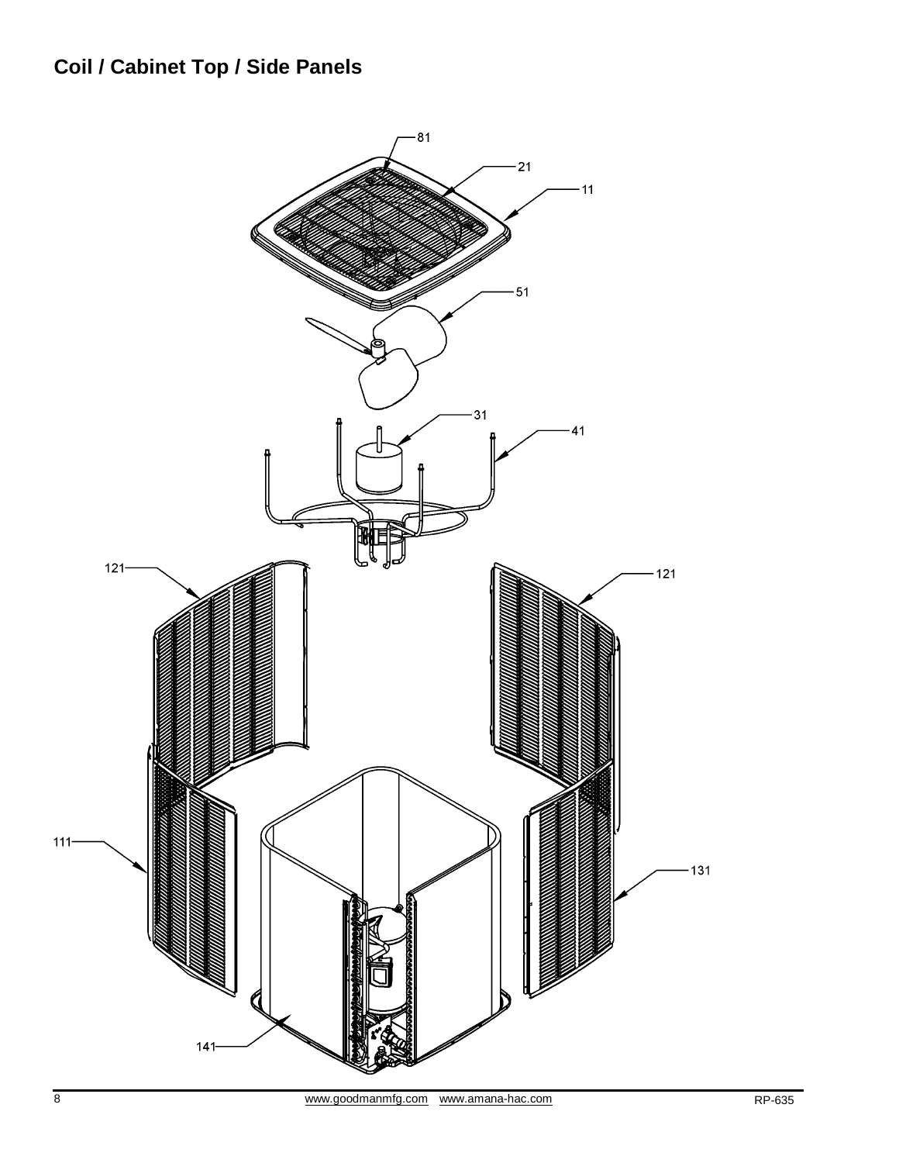# **Coil / Cabinet Top / Side Panels**